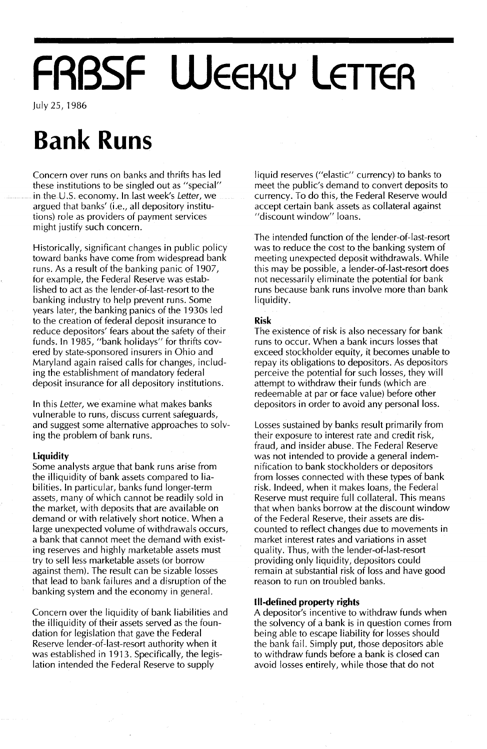# **FRBSF WEEKLY LETTER**

July25,1986

## **Bank Runs**

Concern over runs on banks and thrifts has led these institutions to be singled out as "special" in the U.S. economy. In last week's Letter, we argued that banks' (i.e., all depository institutions) role as providers of payment services might justify such concern.

Historically, significant changes in public policy toward banks have come from widespread bank runs. As a result of the banking panic of 1907, for example, the Federal Reserve was established to act as the lender-of-Iast-resort to the banking industry to help prevent runs. Some years later, the banking panics of the 1930s led to the creation of federal deposit insurance to reduce depositors' fears about the safety of their funds. In 1985, "bank holidays" for thrifts covered by state-sponsored insurers in Ohio and Maryland again raised calls for changes, including the establishment of mandatory federal deposit insurance for all depository institutions.

In this Letter, we examine what makes banks vulnerable to runs, discuss current safeguards, and suggest some alternative approaches to solving the problem of bank runs.

### **Liquidity**

Some analysts argue that bank runs arise from the illiquidity of bank assets compared to liabilities. In particular, banks fund longer-term assets, many of which cannot be readily sold in the market, with deposits that are available on demand or with relatively short notice. When a large unexpected volume of withdrawals occurs, a bank that cannot meet the demand with existing reserves and highly marketable assets must try to sell less marketable assets (or borrow against them). The result can be sizable losses that lead to bank failures and a disruption of the banking system and the economy in general.

Concern over the liquidity of bank liabilities and the illiquidity of their assets served as the foundation for legislation that gave the Federal Reserve lender-of-Iast-resort authority when it was established in 1913. Specifically, the legislation intended the Federal Reserve to supply

liquid reserves ("elastic" currency) to banks to meet the public's demand to convert deposits to currency. To do this, the Federal Reserve would accept certain bank assets as collateral against "discount window" loans.

The intended function of the lender-of-Iast-resort was to reduce the cost to the banking system of meeting unexpected deposit withdrawals. While this may be possible, a lender-of-Iast-resort does not necessarily eliminate the potential for bank runs because bank runs involve more than bank liquidity.

#### **Risk**

The existence of risk is also necessary for bank runs to occur. When a bank incurs losses that exceed stockholder equity, it becomes unable to repay its obligations to depositors. As depositors perceive the potential for such losses, they will attempt to withdraw their funds (which are redeemable at par or face value) before other depositors in order to avoid any personal loss.

Losses sustained by banks result primarily from their exposure to interest rate and credit risk, fraud, and insider abuse. The Federal Reserve was not intended to provide a general indemnification to bank stockholders or depositors from losses connected with these types of bank risk. Indeed, when it makes loans, the Federal Reserve must require full collateral. This means that when banks borrow at the discount window of the Federal Reserve, their assets are discounted to reflect changes due to movements in market interest rates and variations in asset quality. Thus, with the lender-of-Iast-resort providing only liquidity, depositors could remain at substantial risk of loss and have good reason to run on troubled banks.

### **III-defined property rights**

A depositor's incentive to withdraw funds when the solvency of a bank is in question comes from being able to escape liability for losses should the bank fail. Simply put, those depositors able to withdraw funds before a bank is closed can avoid losses entirely, while those that do not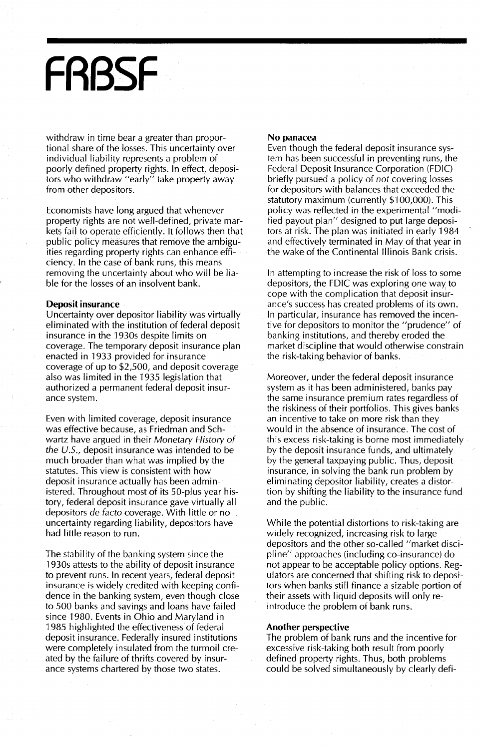## **FRBSF**

withdraw in time bear a greater than proportional share of the losses. This uncertainty over individual liability represents a problem of poorly defined property rights. In effect, depositors who withdraw "early" take property away from other depositors.

Economists have long argued that whenever property rights are not well-defined, private markets fail to operate efficiently. It follows then that public policy measures that remove the ambiguities regarding property rights can enhance efficiency. In the case of bank runs, this means removing the uncertainty about who will be liable for the losses of an insolvent bank.

#### **Deposit insurance**

Uncertainty over depositor liability was virtually eliminated with the institution of federal deposit insurance in the 1930s despite limits on coverage. The temporary deposit insurance plan enacted in 1933 provided for insurance coverage of up to \$2,500, and deposit coverage also was limited in the 1935 legislation that authorized a permanent federal deposit insurance system.

Even with limited coverage, deposit insurance was effective because, as Friedman and Schwartz have argued in their Monetary History of the U.S., deposit insurance was intended to be much broader than what was implied by the statutes. This view is consistent with how deposit insurance actually has been administered. Throughout most of its 50-plus year history, federal deposit insurance gave virtually all depositors de facto coverage. With little or no uncertainty regarding liability, depositors have had little reason to run.

The stability of the banking system since the 1930s attests to the ability of deposit insurance to prevent runs. In recent years, federal deposit insurance is widely credited with keeping confidence in the banking system, even though close to 500 banks and savings and loans have failed since 1980. Events in Ohio and Maryland in 1985 highlighted the effectiveness of federal deposit insurance. Federally insured institutions were completely insulated from the turmoil created by the failure of thrifts covered by insurance systems chartered by those two states.

#### **No panacea**

Even though the federal deposit insurance system has been successful in preventing runs, the Federal Deposit Insurance Corporation (FDIC) briefly pursued a policy of not covering losses for depositors with balances that exceeded the statutory maximum (currently \$100,000). This policy was reflected in the experimental "modified payout plan" designed to put large depositors at risk. The plan was initiated in early 1984 and effectively terminated in May of that year in the wake of the Continental Illinois Bank crisis.

In attempting to increase the risk of loss to some depositors, the FDIC was exploring one way to cope with the complication that deposit insurance's success has created problems of its own. In particular, insurance has removed the incentive for depositors to monitor the "prudence" of banking institutions, and thereby eroded the market discipline that would otherwise constrain the risk-taking behavior of banks.

Moreover, under the federal deposit insurance system as it has been administered, banks pay the same insurance premium rates regardless of the riskiness of their portfolios. This gives banks an incentive to take on more risk than they would in the absence of insurance. The cost of this excess risk-taking is borne most immediately by the deposit insurance funds, and ultimately by the general taxpaying public. Thus, deposit insurance, in solving the bank run problem by eliminating depositor liability, creates a distortion by shifting the liability to the insurance fund and the public.

While the potential distortions to risk-taking are widely recognized, increasing risk to large depositors and the other so-called "market discipline" approaches (including co-insurance) do not appear to be acceptable policy options. Regulators are concerned that shifting risk to depositors when banks still finance a sizable portion of their assets with liquid deposits will only reintroduce the problem of bank runs.

#### **Another perspective**

The problem of bank runs and the incentive for excessive risk-taking both result from poorly defined property rights. Thus, both problems could be solved simultaneously by clearly defi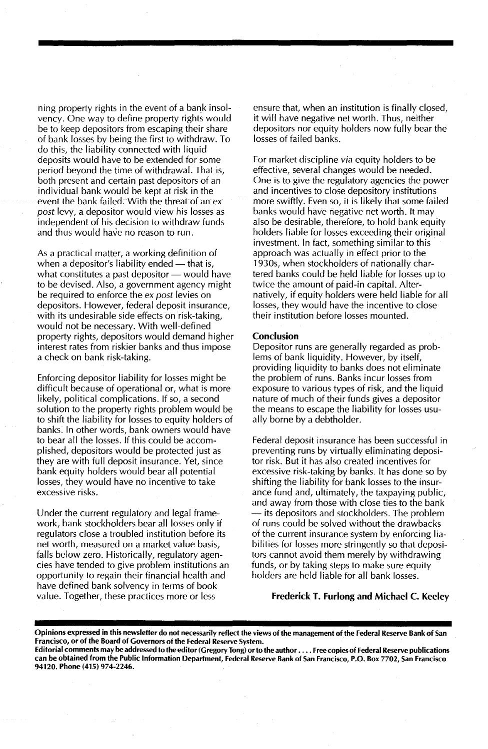ning property rights in the event of a bank insolvency. One way to define property rights would be to keep depositors from escaping their share of bank losses by being the first to withdraw. To do this, the liability connected with liquid deposits would have to be extended for some period beyond the time of withdrawal. That is, both present and certain past depositors of an individual bank would be kept at risk in the event the bank failed. With the threat of an expost levy, a depositor would view his losses as independent of his decision to withdraw funds and thus would have no reason to run.

As a practical matter, a working definition of when a depositor's liability ended  $-$  that is, what constitutes a past depositor  $-$  would have to be devised. Also, a government agency might be required to enforce the ex post levies on depositors. However, federal deposit insurance, with its undesirable side effects on risk-taking, would not be necessary. With well-defined property rights, depositors would demand higher interest rates from riskier banks and thus impose a check on bank risk-taking.

Enforcing depositor liability for losses might be difficult because of operational or, what is more likely, political complications. If so, a second solution to the property rights problem would be to shift the liability for losses to equity holders of banks. In other words, bank owners would have to bear all the losses. If this could be accomplished, depositors would be protected just as they are with full deposit insurance. Yet, since bank equity holders would bear all potential losses, they would have no incentive to take excessive risks.

Under the current regulatory and legal framework, bank stockholders bear all losses only if regulators close a troubled institution before its net worth, measured on a market value basis, falls below zero. Historically, regulatory agencies have tended to give problem institutions an opportunity to regain their financial health and have defined bank solvency in terms of book value. Together, these practices more or less

ensure that, when an institution is finally closed. it will have negative net worth. Thus, neither depositors nor equity holders now fully bear the losses of failed banks.

For market discipline *via* equity holders to be effective, several changes would be needed. One is to give the regulatory agencies the power and incentives to close depository institutions more swiftly. Even so, it is likely that some failed banks would have negative net worth. It may also be desirable, therefore, to hold bank equity holders liable for losses exceeding their original investment. In fact, something similar to this approach was actually in effect prior to the 1930s, when stockholders of nationally chartered banks could be held liable for losses up to twice the amount of paid-in capital. Alternatively, if equity holders were held liable for all losses, they would have the incentive to close their institution before losses mounted.

#### Conclusion

Depositor runs are generally regarded as problems of bank liquidity. However, by itself, providing liquidity to banks does not eliminate the problem of runs. Banks incur losses from exposure to various types of risk, and the liquid nature of much of their funds gives a depositor the means to escape the liability for losses usually borne by a debtholder.

Federal deposit insurance has been successful in preventing runs by virtually eliminating depositor risk. But it has also created incentives for excessive risk-taking by banks. It has done so by shifting the liability for bank losses to the insurance fund and, ultimately, the taxpaying public, and away from those with close ties to the bank - its depositors and stockholders. The problem of runs could be solved without the drawbacks of the current insurance system by enforcing liabilities for losses more stringently so that depositors cannot avoid them merely by withdrawing funds, or by taking steps to make sure equity holders are held liable for all bank losses.

#### Frederick T. Furlong and Michael C. Keeley

Opinions expressed in this newsletter do not necessarily reflect the views of the management of the Federal Reserve Bank of San Francisco, or of the Board of Governors of the Federal Reserve System.

Editorial comments may be addressed to the editor (Gregory Tong) or to the author .... Free copies of Federal Reserve publications can be obtained from the Public Information Department, Federal Reserve Bank of San Francisco, P.O. Box 7702, San Francisco 94120. Phone (415) 974-2246.